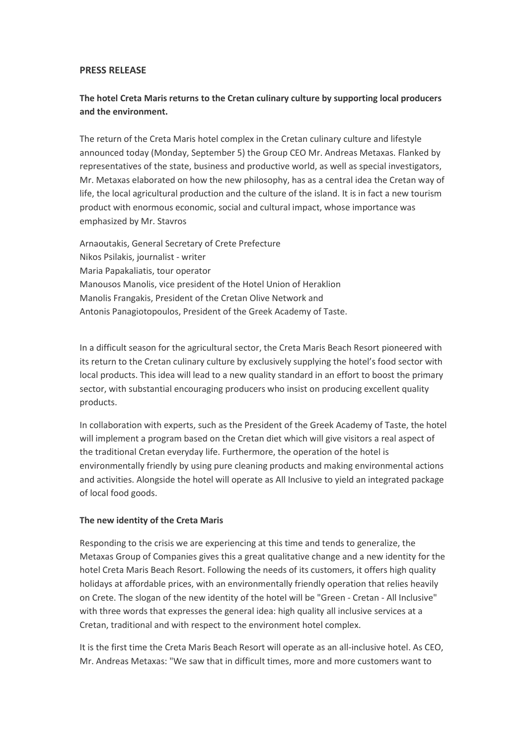### **PRESS RELEASE**

# **The hotel Creta Maris returns to the Cretan culinary culture by supporting local producers and the environment.**

The return of the Creta Maris hotel complex in the Cretan culinary culture and lifestyle announced today (Monday, September 5) the Group CEO Mr. Andreas Metaxas. Flanked by representatives of the state, business and productive world, as well as special investigators, Mr. Metaxas elaborated on how the new philosophy, has as a central idea the Cretan way of life, the local agricultural production and the culture of the island. It is in fact a new tourism product with enormous economic, social and cultural impact, whose importance was emphasized by Mr. Stavros

Arnaoutakis, General Secretary of Crete Prefecture Nikos Psilakis, journalist - writer Maria Papakaliatis, tour operator Manousos Manolis, vice president of the Hotel Union of Heraklion Manolis Frangakis, President of the Cretan Olive Network and Antonis Panagiotopoulos, President of the Greek Academy of Taste.

In a difficult season for the agricultural sector, the Creta Maris Beach Resort pioneered with its return to the Cretan culinary culture by exclusively supplying the hotel's food sector with local products. This idea will lead to a new quality standard in an effort to boost the primary sector, with substantial encouraging producers who insist on producing excellent quality products.

In collaboration with experts, such as the President of the Greek Academy of Taste, the hotel will implement a program based on the Cretan diet which will give visitors a real aspect of the traditional Cretan everyday life. Furthermore, the operation of the hotel is environmentally friendly by using pure cleaning products and making environmental actions and activities. Alongside the hotel will operate as All Inclusive to yield an integrated package of local food goods.

### **The new identity of the Creta Maris**

Responding to the crisis we are experiencing at this time and tends to generalize, the Metaxas Group of Companies gives this a great qualitative change and a new identity for the hotel Creta Maris Beach Resort. Following the needs of its customers, it offers high quality holidays at affordable prices, with an environmentally friendly operation that relies heavily on Crete. The slogan of the new identity of the hotel will be "Green - Cretan - All Inclusive" with three words that expresses the general idea: high quality all inclusive services at a Cretan, traditional and with respect to the environment hotel complex.

It is the first time the Creta Maris Beach Resort will operate as an all-inclusive hotel. As CEO, Mr. Andreas Metaxas: "We saw that in difficult times, more and more customers want to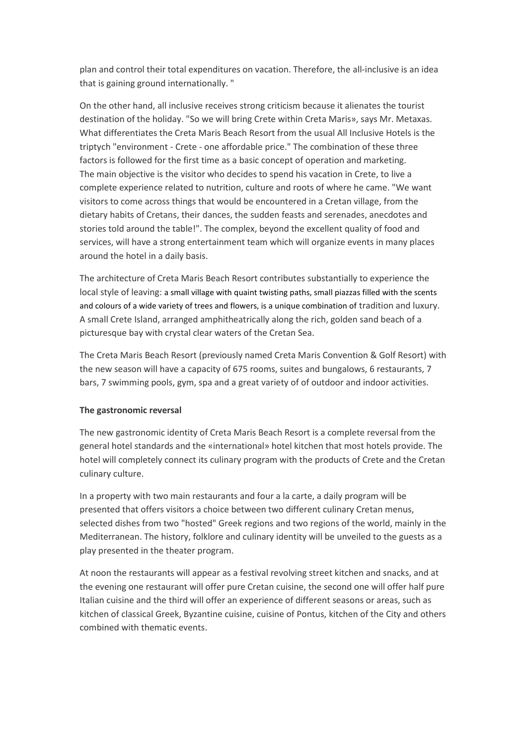plan and control their total expenditures on vacation. Therefore, the all-inclusive is an idea that is gaining ground internationally. "

On the other hand, all inclusive receives strong criticism because it alienates the tourist destination of the holiday. "So we will bring Crete within Creta Maris», says Mr. Metaxas. What differentiates the Creta Maris Beach Resort from the usual All Inclusive Hotels is the triptych "environment - Crete - one affordable price." The combination of these three factors is followed for the first time as a basic concept of operation and marketing. The main objective is the visitor who decides to spend his vacation in Crete, to live a complete experience related to nutrition, culture and roots of where he came. "We want visitors to come across things that would be encountered in a Cretan village, from the dietary habits of Cretans, their dances, the sudden feasts and serenades, anecdotes and stories told around the table!". The complex, beyond the excellent quality of food and services, will have a strong entertainment team which will organize events in many places around the hotel in a daily basis.

The architecture of Creta Maris Beach Resort contributes substantially to experience the local style of leaving: a small village with quaint twisting paths, small piazzas filled with the scents and colours of a wide variety of trees and flowers, is a unique combination of tradition and luxury. A small Crete Island, arranged amphitheatrically along the rich, golden sand beach of a picturesque bay with crystal clear waters of the Cretan Sea.

The Creta Maris Beach Resort (previously named Creta Maris Convention & Golf Resort) with the new season will have a capacity of 675 rooms, suites and bungalows, 6 restaurants, 7 bars, 7 swimming pools, gym, spa and a great variety of of outdoor and indoor activities.

### **The gastronomic reversal**

The new gastronomic identity of Creta Maris Beach Resort is a complete reversal from the general hotel standards and the «international» hotel kitchen that most hotels provide. The hotel will completely connect its culinary program with the products of Crete and the Cretan culinary culture.

In a property with two main restaurants and four a la carte, a daily program will be presented that offers visitors a choice between two different culinary Cretan menus, selected dishes from two "hosted" Greek regions and two regions of the world, mainly in the Mediterranean. The history, folklore and culinary identity will be unveiled to the guests as a play presented in the theater program.

At noon the restaurants will appear as a festival revolving street kitchen and snacks, and at the evening one restaurant will offer pure Cretan cuisine, the second one will offer half pure Italian cuisine and the third will offer an experience of different seasons or areas, such as kitchen of classical Greek, Byzantine cuisine, cuisine of Pontus, kitchen of the City and others combined with thematic events.